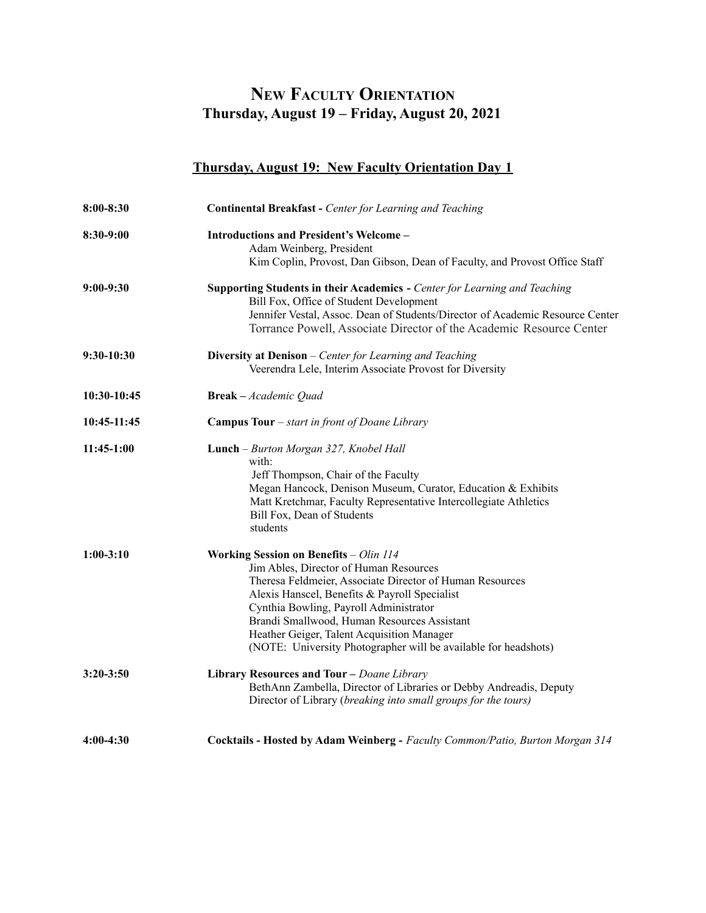## **Thursday, August 19 – Friday, August 20, 2021 NEW FACULTY ORIENTATION**

## **Thursday, August 19: New Faculty Orientation Day 1**

| 8:00-8:30     | <b>Continental Breakfast - Center for Learning and Teaching</b>                                                                                                                                                                                                                                                                                                                                         |
|---------------|---------------------------------------------------------------------------------------------------------------------------------------------------------------------------------------------------------------------------------------------------------------------------------------------------------------------------------------------------------------------------------------------------------|
| 8:30-9:00     | <b>Introductions and President's Welcome -</b><br>Adam Weinberg, President<br>Kim Coplin, Provost, Dan Gibson, Dean of Faculty, and Provost Office Staff                                                                                                                                                                                                                                                |
| $9:00-9:30$   | Supporting Students in their Academics - Center for Learning and Teaching<br>Bill Fox, Office of Student Development<br>Jennifer Vestal, Assoc. Dean of Students/Director of Academic Resource Center<br>Torrance Powell, Associate Director of the Academic Resource Center                                                                                                                            |
| 9:30-10:30    | Diversity at Denison - Center for Learning and Teaching<br>Veerendra Lele, Interim Associate Provost for Diversity                                                                                                                                                                                                                                                                                      |
| 10:30-10:45   | <b>Break</b> - Academic Quad                                                                                                                                                                                                                                                                                                                                                                            |
| 10:45-11:45   | <b>Campus Tour</b> $-$ <i>start in front of Doane Library</i>                                                                                                                                                                                                                                                                                                                                           |
| 11:45-1:00    | Lunch - Burton Morgan 327, Knobel Hall<br>with:<br>Jeff Thompson, Chair of the Faculty<br>Megan Hancock, Denison Museum, Curator, Education & Exhibits<br>Matt Kretchmar, Faculty Representative Intercollegiate Athletics<br>Bill Fox, Dean of Students<br>students                                                                                                                                    |
| $1:00-3:10$   | Working Session on Benefits - Olin 114<br>Jim Ables, Director of Human Resources<br>Theresa Feldmeier, Associate Director of Human Resources<br>Alexis Hanscel, Benefits & Payroll Specialist<br>Cynthia Bowling, Payroll Administrator<br>Brandi Smallwood, Human Resources Assistant<br>Heather Geiger, Talent Acquisition Manager<br>(NOTE: University Photographer will be available for headshots) |
| $3:20 - 3:50$ | Library Resources and Tour - Doane Library<br>BethAnn Zambella, Director of Libraries or Debby Andreadis, Deputy<br>Director of Library (breaking into small groups for the tours)                                                                                                                                                                                                                      |
| 4:00-4:30     | Cocktails - Hosted by Adam Weinberg - Faculty Common/Patio, Burton Morgan 314                                                                                                                                                                                                                                                                                                                           |